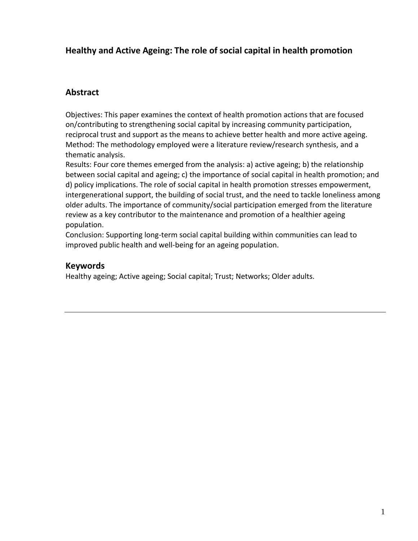# **Healthy and Active Ageing: The role of social capital in health promotion**

## **Abstract**

Objectives: This paper examines the context of health promotion actions that are focused on/contributing to strengthening social capital by increasing community participation, reciprocal trust and support as the means to achieve better health and more active ageing. Method: The methodology employed were a literature review/research synthesis, and a thematic analysis.

Results: Four core themes emerged from the analysis: a) active ageing; b) the relationship between social capital and ageing; c) the importance of social capital in health promotion; and d) policy implications. The role of social capital in health promotion stresses empowerment, intergenerational support, the building of social trust, and the need to tackle loneliness among older adults. The importance of community/social participation emerged from the literature review as a key contributor to the maintenance and promotion of a healthier ageing population.

Conclusion: Supporting long-term social capital building within communities can lead to improved public health and well-being for an ageing population.

## **Keywords**

Healthy ageing; Active ageing; Social capital; Trust; Networks; Older adults.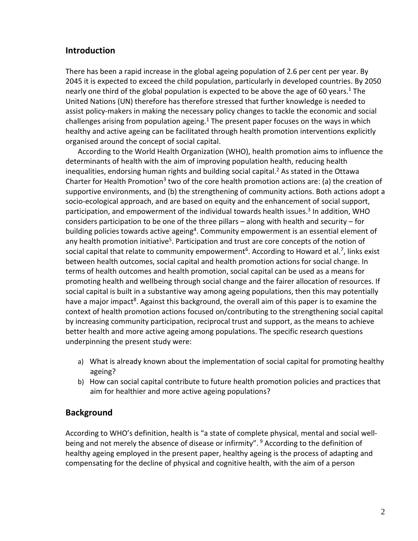## **Introduction**

There has been a rapid increase in the global ageing population of 2.6 per cent per year. By 2045 it is expected to exceed the child population, particularly in developed countries. By 2050 nearly one third of the global population is expected to be above the age of 60 years.<sup>1</sup> The United Nations (UN) therefore has therefore stressed that further knowledge is needed to assist policy-makers in making the necessary policy changes to tackle the economic and social challenges arising from population ageing.<sup>1</sup> The present paper focuses on the ways in which healthy and active ageing can be facilitated through health promotion interventions explicitly organised around the concept of social capital.

According to the World Health Organization (WHO), health promotion aims to influence the determinants of health with the aim of improving population health, reducing health inequalities, endorsing human rights and building social capital.<sup>2</sup> As stated in the Ottawa Charter for Health Promotion<sup>3</sup> two of the core health promotion actions are: (a) the creation of supportive environments, and (b) the strengthening of community actions. Both actions adopt a socio-ecological approach, and are based on equity and the enhancement of social support, participation, and empowerment of the individual towards health issues.<sup>3</sup> In addition, WHO considers participation to be one of the three pillars – along with health and security – for building policies towards active ageing<sup>4</sup>. Community empowerment is an essential element of any health promotion initiative<sup>5</sup>. Participation and trust are core concepts of the notion of social capital that relate to community empowerment<sup>6</sup>. According to Howard et al.<sup>7</sup>, links exist between health outcomes, social capital and health promotion actions for social change. In terms of health outcomes and health promotion, social capital can be used as a means for promoting health and wellbeing through social change and the fairer allocation of resources. If social capital is built in a substantive way among ageing populations, then this may potentially have a major impact<sup>8</sup>. Against this background, the overall aim of this paper is to examine the context of health promotion actions focused on/contributing to the strengthening social capital by increasing community participation, reciprocal trust and support, as the means to achieve better health and more active ageing among populations. The specific research questions underpinning the present study were:

- a) What is already known about the implementation of social capital for promoting healthy ageing?
- b) How can social capital contribute to future health promotion policies and practices that aim for healthier and more active ageing populations?

# **Background**

According to WHO's definition, health is "a state of complete physical, mental and social wellbeing and not merely the absence of disease or infirmity".  $9$  According to the definition of healthy ageing employed in the present paper, healthy ageing is the process of adapting and compensating for the decline of physical and cognitive health, with the aim of a person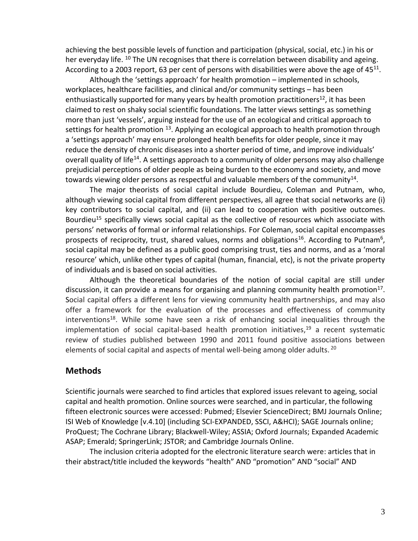achieving the best possible levels of function and participation (physical, social, etc.) in his or her everyday life. <sup>10</sup> The UN recognises that there is correlation between disability and ageing. According to a 2003 report, 63 per cent of persons with disabilities were above the age of  $45^{11}$ .

Although the 'settings approach' for health promotion – implemented in schools, workplaces, healthcare facilities, and clinical and/or community settings – has been enthusiastically supported for many years by health promotion practitioners<sup>12</sup>, it has been claimed to rest on shaky social scientific foundations. The latter views settings as something more than just 'vessels', arguing instead for the use of an ecological and critical approach to settings for health promotion <sup>13</sup>. Applying an ecological approach to health promotion through a 'settings approach' may ensure prolonged health benefits for older people, since it may reduce the density of chronic diseases into a shorter period of time, and improve individuals' overall quality of life<sup>14</sup>. A settings approach to a community of older persons may also challenge prejudicial perceptions of older people as being burden to the economy and society, and move towards viewing older persons as respectful and valuable members of the community<sup>14</sup>.

The major theorists of social capital include Bourdieu, Coleman and Putnam, who, although viewing social capital from different perspectives, all agree that social networks are (i) key contributors to social capital, and (ii) can lead to cooperation with positive outcomes. Bourdieu<sup>15</sup> specifically views social capital as the collective of resources which associate with persons' networks of formal or informal relationships. For Coleman, social capital encompasses prospects of reciprocity, trust, shared values, norms and obligations<sup>16</sup>. According to Putnam<sup>6</sup>, social capital may be defined as a public good comprising trust, ties and norms, and as a 'moral resource' which, unlike other types of capital (human, financial, etc), is not the private property of individuals and is based on social activities.

Although the theoretical boundaries of the notion of social capital are still under discussion, it can provide a means for organising and planning community health promotion<sup>17</sup>. Social capital offers a different lens for viewing community health partnerships, and may also offer a framework for the evaluation of the processes and effectiveness of community interventions<sup>18</sup>. While some have seen a risk of enhancing social inequalities through the implementation of social capital-based health promotion initiatives, $19$  a recent systematic review of studies published between 1990 and 2011 found positive associations between elements of social capital and aspects of mental well-being among older adults. <sup>20</sup>

## **Methods**

Scientific journals were searched to find articles that explored issues relevant to ageing, social capital and health promotion. Online sources were searched, and in particular, the following fifteen electronic sources were accessed: Pubmed; Elsevier ScienceDirect; BMJ Journals Online; ISI Web of Knowledge [v.4.10] (including SCI-EXPANDED, SSCI, A&HCI); SAGE Journals online; ProQuest; The Cochrane Library; Blackwell-Wiley; ASSIA; Oxford Journals; Expanded Academic ASAP; Emerald; SpringerLink; JSTOR; and Cambridge Journals Online.

The inclusion criteria adopted for the electronic literature search were: articles that in their abstract/title included the keywords "health" AND "promotion" AND "social" AND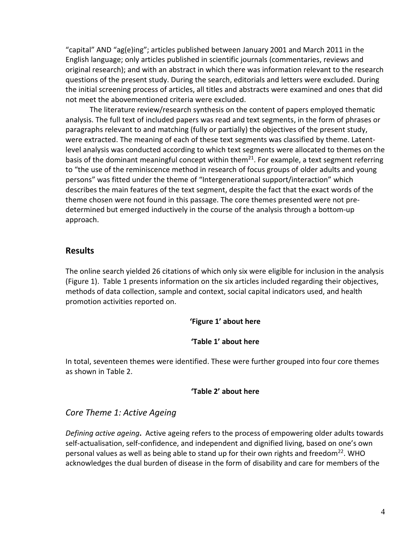"capital" AND "ag(e)ing"; articles published between January 2001 and March 2011 in the English language; only articles published in scientific journals (commentaries, reviews and original research); and with an abstract in which there was information relevant to the research questions of the present study. During the search, editorials and letters were excluded. During the initial screening process of articles, all titles and abstracts were examined and ones that did not meet the abovementioned criteria were excluded.

The literature review/research synthesis on the content of papers employed thematic analysis. The full text of included papers was read and text segments, in the form of phrases or paragraphs relevant to and matching (fully or partially) the objectives of the present study, were extracted. The meaning of each of these text segments was classified by theme. Latentlevel analysis was conducted according to which text segments were allocated to themes on the basis of the dominant meaningful concept within them<sup>21</sup>. For example, a text segment referring to "the use of the reminiscence method in research of focus groups of older adults and young persons" was fitted under the theme of "Intergenerational support/interaction" which describes the main features of the text segment, despite the fact that the exact words of the theme chosen were not found in this passage. The core themes presented were not predetermined but emerged inductively in the course of the analysis through a bottom-up approach.

## **Results**

The online search yielded 26 citations of which only six were eligible for inclusion in the analysis (Figure 1). Table 1 presents information on the six articles included regarding their objectives, methods of data collection, sample and context, social capital indicators used, and health promotion activities reported on.

#### **'Figure 1' about here**

#### **'Table 1' about here**

In total, seventeen themes were identified. These were further grouped into four core themes as shown in Table 2.

#### **'Table 2' about here**

# *Core Theme 1: Active Ageing*

*Defining active ageing***.** Active ageing refers to the process of empowering older adults towards self-actualisation, self-confidence, and independent and dignified living, based on one's own personal values as well as being able to stand up for their own rights and freedom<sup>22</sup>. WHO acknowledges the dual burden of disease in the form of disability and care for members of the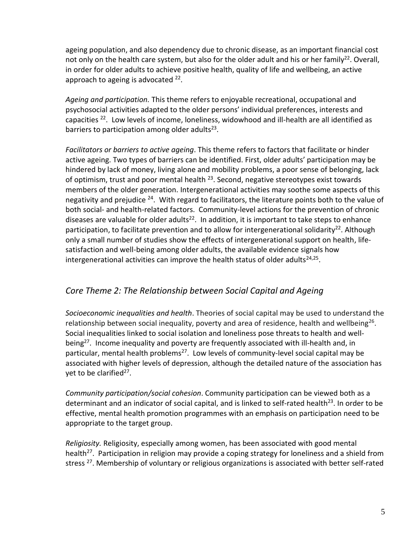ageing population, and also dependency due to chronic disease, as an important financial cost not only on the health care system, but also for the older adult and his or her family<sup>22</sup>. Overall, in order for older adults to achieve positive health, quality of life and wellbeing, an active approach to ageing is advocated <sup>22</sup>.

*Ageing and participation.* This theme refers to enjoyable recreational, occupational and psychosocial activities adapted to the older persons' individual preferences, interests and capacities <sup>22</sup> .Low levels of income, loneliness, widowhood and ill-health are all identified as barriers to participation among older adults $^{23}$ .

*Facilitators or barriers to active ageing*. This theme refers to factors that facilitate or hinder active ageing. Two types of barriers can be identified. First, older adults' participation may be hindered by lack of money, living alone and mobility problems, a poor sense of belonging, lack of optimism, trust and poor mental health  $^{23}$ . Second, negative stereotypes exist towards members of the older generation. Intergenerational activities may soothe some aspects of this negativity and prejudice <sup>24</sup>. With regard to facilitators, the literature points both to the value of both social- and health-related factors. Community-level actions for the prevention of chronic diseases are valuable for older adults<sup>22</sup>. In addition, it is important to take steps to enhance participation, to facilitate prevention and to allow for intergenerational solidarity<sup>22</sup>. Although only a small number of studies show the effects of intergenerational support on health, lifesatisfaction and well-being among older adults, the available evidence signals how intergenerational activities can improve the health status of older adults $^{24,25}$ .

# *Core Theme 2: The Relationship between Social Capital and Ageing*

*Socioeconomic inequalities and health*. Theories of social capital may be used to understand the relationship between social inequality, poverty and area of residence, health and wellbeing<sup>26</sup>. Social inequalities linked to social isolation and loneliness pose threats to health and wellbeing<sup>27</sup>. Income inequality and poverty are frequently associated with ill-health and, in particular, mental health problems<sup>27</sup>. Low levels of community-level social capital may be associated with higher levels of depression, although the detailed nature of the association has yet to be clarified<sup>27</sup>.

*Community participation/social cohesion*. Community participation can be viewed both as a determinant and an indicator of social capital, and is linked to self-rated health<sup>23</sup>. In order to be effective, mental health promotion programmes with an emphasis on participation need to be appropriate to the target group.

*Religiosity.* Religiosity, especially among women, has been associated with good mental health<sup>27</sup>. Participation in religion may provide a coping strategy for loneliness and a shield from stress<sup>27</sup>. Membership of voluntary or religious organizations is associated with better self-rated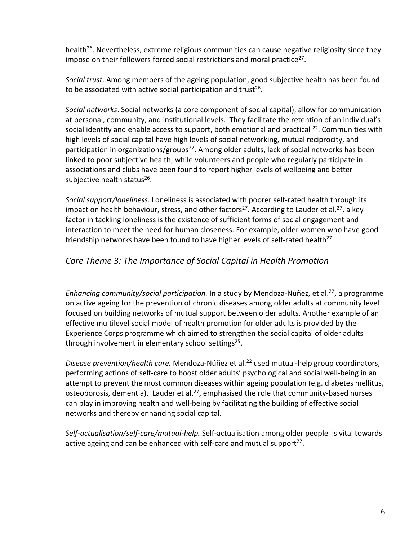health<sup>26</sup>. Nevertheless, extreme religious communities can cause negative religiosity since they impose on their followers forced social restrictions and moral practice<sup>27</sup>.

*Social trust*. Among members of the ageing population, good subjective health has been found to be associated with active social participation and trust<sup>26</sup>.

*Social networks*. Social networks (a core component of social capital), allow for communication at personal, community, and institutional levels. They facilitate the retention of an individual's social identity and enable access to support, both emotional and practical  $^{22}$ . Communities with high levels of social capital have high levels of social networking, mutual reciprocity, and participation in organizations/groups<sup>27</sup>. Among older adults, lack of social networks has been linked to poor subjective health, while volunteers and people who regularly participate in associations and clubs have been found to report higher levels of wellbeing and better subjective health status<sup>26</sup>.

*Social support/loneliness*. Loneliness is associated with poorer self-rated health through its impact on health behaviour, stress, and other factors<sup>27</sup>. According to Lauder et al.<sup>27</sup>, a key factor in tackling loneliness is the existence of sufficient forms of social engagement and interaction to meet the need for human closeness. For example, older women who have good friendship networks have been found to have higher levels of self-rated health<sup>27</sup>.

# *Core Theme 3: The Importance of Social Capital in Health Promotion*

Enhancing community/social participation. In a study by Mendoza-Núñez, et al.<sup>22</sup>, a programme on active ageing for the prevention of chronic diseases among older adults at community level focused on building networks of mutual support between older adults. Another example of an effective multilevel social model of health promotion for older adults is provided by the Experience Corps programme which aimed to strengthen the social capital of older adults through involvement in elementary school settings<sup>25</sup>.

Disease prevention/health care. Mendoza-Núñez et al.<sup>22</sup> used mutual-help group coordinators, performing actions of self-care to boost older adults' psychological and social well-being in an attempt to prevent the most common diseases within ageing population (e.g. diabetes mellitus, osteoporosis, dementia). Lauder et al.<sup>27</sup>, emphasised the role that community-based nurses can play in improving health and well-being by facilitating the building of effective social networks and thereby enhancing social capital.

*Self-actualisation/self-care/mutual-help.* Self-actualisation among older people is vital towards active ageing and can be enhanced with self-care and mutual support<sup>22</sup>.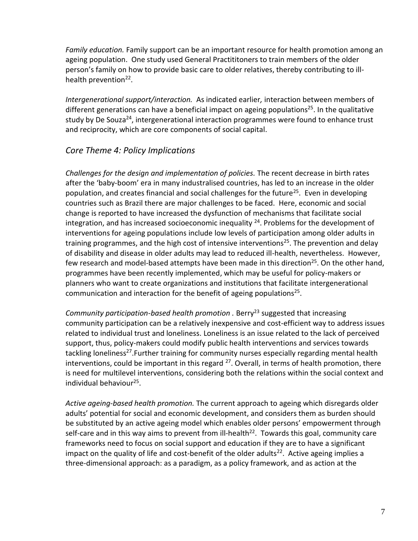*Family education.* Family support can be an important resource for health promotion among an ageing population. One study used General Practititoners to train members of the older person's family on how to provide basic care to older relatives, thereby contributing to illhealth prevention<sup>22</sup>.

*Intergenerational support/interaction.* As indicated earlier*,* interaction between members of different generations can have a beneficial impact on ageing populations<sup>25</sup>. In the qualitative study by De Souza<sup>24</sup>, intergenerational interaction programmes were found to enhance trust and reciprocity, which are core components of social capital.

## *Core Theme 4: Policy Implications*

*Challenges for the design and implementation of policies.* The recent decrease in birth rates after the 'baby-boom' era in many industralised countries, has led to an increase in the older population, and creates financial and social challenges for the future<sup>25</sup>. Even in developing countries such as Brazil there are major challenges to be faced. Here, economic and social change is reported to have increased the dysfunction of mechanisms that facilitate social integration, and has increased socioeconomic inequality <sup>24</sup>. Problems for the development of interventions for ageing populations include low levels of participation among older adults in training programmes, and the high cost of intensive interventions<sup>25</sup>. The prevention and delay of disability and disease in older adults may lead to reduced ill-health, nevertheless. However, few research and model-based attempts have been made in this direction<sup>25</sup>. On the other hand, programmes have been recently implemented, which may be useful for policy-makers or planners who want to create organizations and institutions that facilitate intergenerational communication and interaction for the benefit of ageing populations<sup>25</sup>.

*Community participation-based health promotion .* Berry<sup>23</sup> suggested that increasing community participation can be a relatively inexpensive and cost-efficient way to address issues related to individual trust and loneliness. Loneliness is an issue related to the lack of perceived support, thus, policy-makers could modify public health interventions and services towards tackling loneliness<sup>27</sup>. Further training for community nurses especially regarding mental health interventions, could be important in this regard <sup>27</sup>. Overall, in terms of health promotion, there is need for multilevel interventions, considering both the relations within the social context and individual behaviour<sup>25</sup>.

*Active ageing-based health promotion.* The current approach to ageing which disregards older adults' potential for social and economic development, and considers them as burden should be substituted by an active ageing model which enables older persons' empowerment through self-care and in this way aims to prevent from ill-health<sup>22</sup>. Towards this goal, community care frameworks need to focus on social support and education if they are to have a significant impact on the quality of life and cost-benefit of the older adults<sup>22</sup>. Active ageing implies a three-dimensional approach: as a paradigm, as a policy framework, and as action at the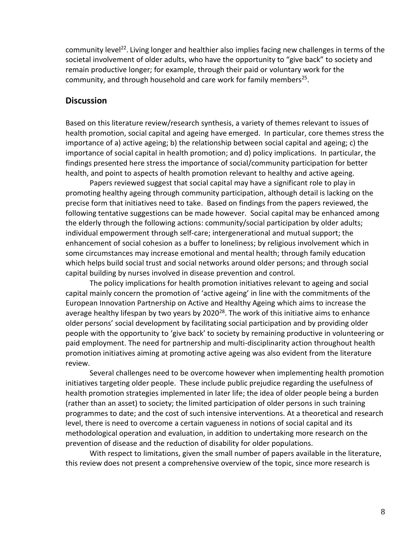community level<sup>22</sup>. Living longer and healthier also implies facing new challenges in terms of the societal involvement of older adults, who have the opportunity to "give back" to society and remain productive longer; for example, through their paid or voluntary work for the community, and through household and care work for family members<sup>25</sup>.

#### **Discussion**

Based on this literature review/research synthesis, a variety of themes relevant to issues of health promotion, social capital and ageing have emerged. In particular, core themes stress the importance of a) active ageing; b) the relationship between social capital and ageing; c) the importance of social capital in health promotion; and d) policy implications. In particular, the findings presented here stress the importance of social/community participation for better health, and point to aspects of health promotion relevant to healthy and active ageing.

Papers reviewed suggest that social capital may have a significant role to play in promoting healthy ageing through community participation, although detail is lacking on the precise form that initiatives need to take. Based on findings from the papers reviewed, the following tentative suggestions can be made however. Social capital may be enhanced among the elderly through the following actions: community/social participation by older adults; individual empowerment through self-care; intergenerational and mutual support; the enhancement of social cohesion as a buffer to loneliness; by religious involvement which in some circumstances may increase emotional and mental health; through family education which helps build social trust and social networks around older persons; and through social capital building by nurses involved in disease prevention and control.

The policy implications for health promotion initiatives relevant to ageing and social capital mainly concern the promotion of 'active ageing' in line with the commitments of the European Innovation Partnership on Active and Healthy Ageing which aims to increase the average healthy lifespan by two years by  $2020^{28}$ . The work of this initiative aims to enhance older persons' social development by facilitating social participation and by providing older people with the opportunity to 'give back' to society by remaining productive in volunteering or paid employment. The need for partnership and multi-disciplinarity action throughout health promotion initiatives aiming at promoting active ageing was also evident from the literature review.

Several challenges need to be overcome however when implementing health promotion initiatives targeting older people. These include public prejudice regarding the usefulness of health promotion strategies implemented in later life; the idea of older people being a burden (rather than an asset) to society; the limited participation of older persons in such training programmes to date; and the cost of such intensive interventions. At a theoretical and research level, there is need to overcome a certain vagueness in notions of social capital and its methodological operation and evaluation, in addition to undertaking more research on the prevention of disease and the reduction of disability for older populations.

With respect to limitations, given the small number of papers available in the literature, this review does not present a comprehensive overview of the topic, since more research is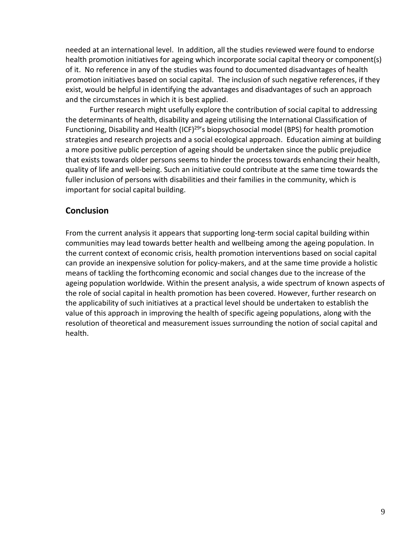needed at an international level. In addition, all the studies reviewed were found to endorse health promotion initiatives for ageing which incorporate social capital theory or component(s) of it. No reference in any of the studies was found to documented disadvantages of health promotion initiatives based on social capital. The inclusion of such negative references, if they exist, would be helpful in identifying the advantages and disadvantages of such an approach and the circumstances in which it is best applied.

Further research might usefully explore the contribution of social capital to addressing the determinants of health, disability and ageing utilising the International Classification of Functioning, Disability and Health (ICF)<sup>29'</sup>s biopsychosocial model (BPS) for health promotion strategies and research projects and a social ecological approach. Education aiming at building a more positive public perception of ageing should be undertaken since the public prejudice that exists towards older persons seems to hinder the process towards enhancing their health, quality of life and well-being. Such an initiative could contribute at the same time towards the fuller inclusion of persons with disabilities and their families in the community, which is important for social capital building.

## **Conclusion**

From the current analysis it appears that supporting long-term social capital building within communities may lead towards better health and wellbeing among the ageing population. In the current context of economic crisis, health promotion interventions based on social capital can provide an inexpensive solution for policy-makers, and at the same time provide a holistic means of tackling the forthcoming economic and social changes due to the increase of the ageing population worldwide. Within the present analysis, a wide spectrum of known aspects of the role of social capital in health promotion has been covered. However, further research on the applicability of such initiatives at a practical level should be undertaken to establish the value of this approach in improving the health of specific ageing populations, along with the resolution of theoretical and measurement issues surrounding the notion of social capital and health.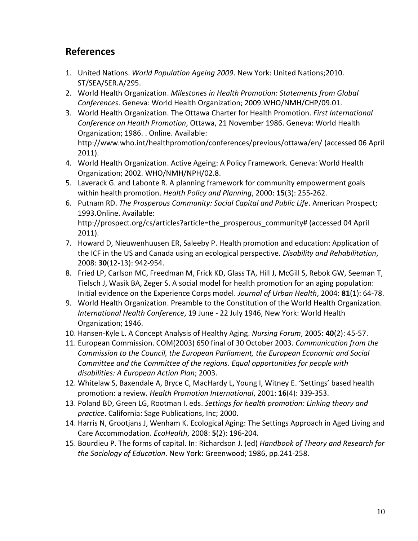# **References**

- 1. United Nations. *World Population Ageing 2009*. New York: United Nations;2010. ST/SEA/SER.A/295.
- 2. World Health Organization. *Milestones in Health Promotion: Statements from Global Conferences*. Geneva: World Health Organization; 2009.WHO/NMH/CHP/09.01.
- 3. World Health Organization. The Ottawa Charter for Health Promotion. *First International Conference on Health Promotion*, Ottawa, 21 November 1986. Geneva: World Health Organization; 1986. . Online. Available: http://www.who.int/healthpromotion/conferences/previous/ottawa/en/ (accessed 06 April 2011).
- 4. World Health Organization. Active Ageing: A Policy Framework. Geneva: World Health Organization; 2002. WHO/NMH/NPH/02.8.
- 5. Laverack G. and Labonte R. A planning framework for community empowerment goals within health promotion. *Health Policy and Planning*, 2000: **15**(3): 255-262.
- 6. Putnam RD. *The Prosperous Community: Social Capital and Public Life*. American Prospect; 1993.Online. Available: http://prospect.org/cs/articles?article=the\_prosperous\_community# (accessed 04 April 2011).
- 7. Howard D, Nieuwenhuusen ER, Saleeby P. Health promotion and education: Application of the ICF in the US and Canada using an ecological perspective*. Disability and Rehabilitation*, 2008: **30**(12-13): 942-954.
- 8. Fried LP, Carlson MC, Freedman M, Frick KD, Glass TA, Hill J, McGill S, Rebok GW, Seeman T, Tielsch J, Wasik BA, Zeger S. A social model for health promotion for an aging population: Initial evidence on the Experience Corps model. *Journal of Urban Health*, 2004: **81**(1): 64-78.
- 9. World Health Organization. Preamble to the Constitution of the World Health Organization. *International Health Conference*, 19 June - 22 July 1946, New York: World Health Organization; 1946.
- 10. Hansen-Kyle L. A Concept Analysis of Healthy Aging. *Nursing Forum*, 2005: **40**(2): 45-57.
- 11. European Commission. COM(2003) 650 final of 30 October 2003. *Communication from the Commission to the Council, the European Parliament, the European Economic and Social Committee and the Committee of the regions. Equal opportunities for people with disabilities: A European Action Plan*; 2003.
- 12. Whitelaw S, Baxendale A, Bryce C, MacHardy L, Young I, Witney E. 'Settings' based health promotion: a review. *Health Promotion International*, 2001: **16**(4): 339-353.
- 13. Poland BD, Green LG, Rootman I. eds. *Settings for health promotion: Linking theory and practice*. California: Sage Publications, Inc; 2000.
- 14. Harris N, Grootjans J, Wenham K. Ecological Aging: The Settings Approach in Aged Living and Care Accommodation. *EcoHealth*, 2008: **5**(2): 196-204.
- 15. Bourdieu P. The forms of capital. In: Richardson J. (ed) *Handbook of Theory and Research for the Sociology of Education*. New York: Greenwood; 1986, pp.241-258.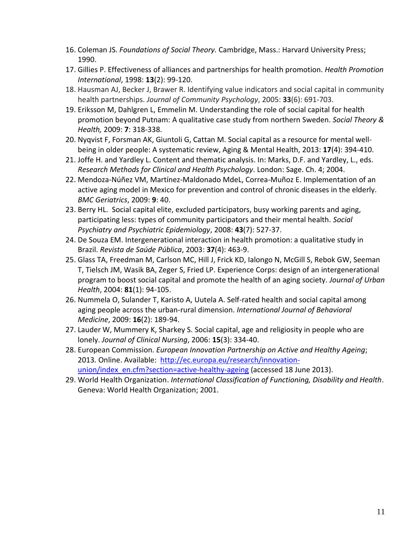- 16. Coleman JS. *Foundations of Social Theory.* Cambridge, Mass.: Harvard University Press; 1990.
- 17. Gillies P. Effectiveness of alliances and partnerships for health promotion. *Health Promotion International*, 1998: **13**(2): 99-120.
- 18. Hausman AJ, Becker J, Brawer R. Identifying value indicators and social capital in community health partnerships. *Journal of Community Psychology*, 2005: **33**(6): 691-703.
- 19. Eriksson M, Dahlgren L, Emmelin M. Understanding the role of social capital for health promotion beyond Putnam: A qualitative case study from northern Sweden. *Social Theory & Health,* 2009: **7**: 318-338.
- 20. Nyqvist F, Forsman AK, Giuntoli G, Cattan M. Social capital as a resource for mental wellbeing in older people: A systematic review, Aging & Mental Health, 2013: **17**(4): 394-410.
- 21. Joffe H. and Yardley L. Content and thematic analysis. In: Marks, D.F. and Yardley, L., eds. *Research Methods for Clinical and Health Psychology*. London: Sage. Ch. 4; 2004.
- 22. Mendoza-Núñez VM, Martínez-Maldonado MdeL, Correa-Muñoz E. Implementation of an active aging model in Mexico for prevention and control of chronic diseases in the elderly. *BMC Geriatrics*, 2009: **9**: 40.
- 23. Berry HL. Social capital elite, excluded participators, busy working parents and aging, participating less: types of community participators and their mental health. *Social Psychiatry and Psychiatric Epidemiology*, 2008: **43**(7): 527-37.
- 24. De Souza EM. Intergenerational interaction in health promotion: a qualitative study in Brazil. *Revista de Saúde Pública*, 2003: **37**(4): 463-9.
- 25. Glass TA, Freedman M, Carlson MC, Hill J, Frick KD, Ialongo N, McGill S, Rebok GW, Seeman T, Tielsch JM, Wasik BA, Zeger S, Fried LP. Experience Corps: design of an intergenerational program to boost social capital and promote the health of an aging society. *Journal of Urban Health*, 2004: **81**(1): 94-105.
- 26. Nummela O, Sulander T, Karisto A, Uutela A. Self-rated health and social capital among aging people across the urban-rural dimension. *International Journal of Behavioral Medicine*, 2009: **16**(2): 189-94.
- 27. Lauder W, Mummery K, Sharkey S. Social capital, age and religiosity in people who are lonely. *Journal of Clinical Nursing*, 2006: **15**(3): 334-40.
- 28. European Commission*. European Innovation Partnership on Active and Healthy Ageing*; 2013*.* Online. Available: [http://ec.europa.eu/research/innovation](http://ec.europa.eu/research/innovation-union/index_en.cfm?section=active-healthy-ageing)[union/index\\_en.cfm?section=active-healthy-ageing](http://ec.europa.eu/research/innovation-union/index_en.cfm?section=active-healthy-ageing) (accessed 18 June 2013).
- 29. World Health Organization. *International Classification of Functioning, Disability and Health*. Geneva: World Health Organization; 2001.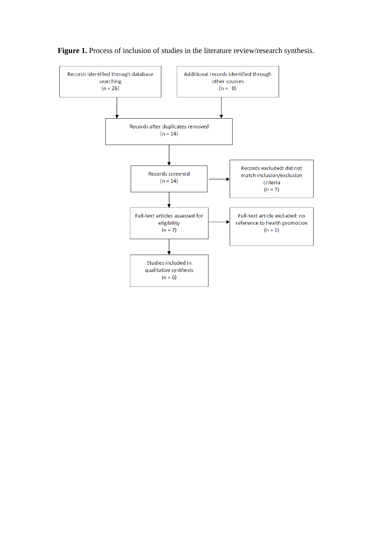

Figure 1. Process of inclusion of studies in the literature review/research synthesis.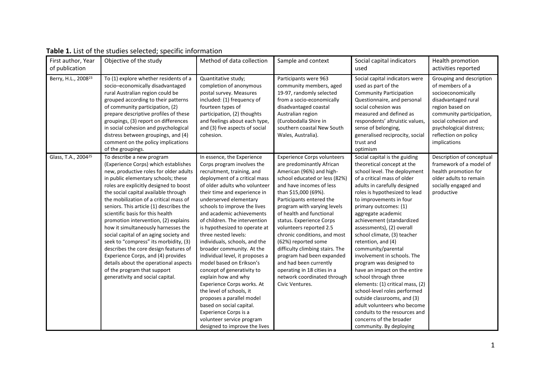| First author, Year<br>of publication | Objective of the study                                                                                                                                                                                                                                                                                                                                                                                                                                                                                                                                                                                                                                                                                                     | Method of data collection                                                                                                                                                                                                                                                                                                                                                                                                                                                                                                                                                                                                                                                                                                                                             | Sample and context                                                                                                                                                                                                                                                                                                                                                                                                                                                                                                                                               | Social capital indicators<br>used                                                                                                                                                                                                                                                                                                                                                                                                                                                                                                                                                                                                                                                                                                                     | Health promotion<br>activities reported                                                                                                                                                                                          |
|--------------------------------------|----------------------------------------------------------------------------------------------------------------------------------------------------------------------------------------------------------------------------------------------------------------------------------------------------------------------------------------------------------------------------------------------------------------------------------------------------------------------------------------------------------------------------------------------------------------------------------------------------------------------------------------------------------------------------------------------------------------------------|-----------------------------------------------------------------------------------------------------------------------------------------------------------------------------------------------------------------------------------------------------------------------------------------------------------------------------------------------------------------------------------------------------------------------------------------------------------------------------------------------------------------------------------------------------------------------------------------------------------------------------------------------------------------------------------------------------------------------------------------------------------------------|------------------------------------------------------------------------------------------------------------------------------------------------------------------------------------------------------------------------------------------------------------------------------------------------------------------------------------------------------------------------------------------------------------------------------------------------------------------------------------------------------------------------------------------------------------------|-------------------------------------------------------------------------------------------------------------------------------------------------------------------------------------------------------------------------------------------------------------------------------------------------------------------------------------------------------------------------------------------------------------------------------------------------------------------------------------------------------------------------------------------------------------------------------------------------------------------------------------------------------------------------------------------------------------------------------------------------------|----------------------------------------------------------------------------------------------------------------------------------------------------------------------------------------------------------------------------------|
| Berry, H.L., 2008 <sup>23</sup>      | To (1) explore whether residents of a<br>socio-economically disadvantaged<br>rural Australian region could be<br>grouped according to their patterns<br>of community participation, (2)<br>prepare descriptive profiles of these<br>groupings, (3) report on differences<br>in social cohesion and psychological<br>distress between groupings, and (4)<br>comment on the policy implications<br>of the groupings.                                                                                                                                                                                                                                                                                                         | Quantitative study;<br>completion of anonymous<br>postal survey. Measures<br>included: (1) frequency of<br>fourteen types of<br>participation, (2) thoughts<br>and feelings about each type,<br>and (3) five aspects of social<br>cohesion.                                                                                                                                                                                                                                                                                                                                                                                                                                                                                                                           | Participants were 963<br>community members, aged<br>19-97, randomly selected<br>from a socio-economically<br>disadvantaged coastal<br>Australian region<br>(Eurobodalla Shire in<br>southern coastal New South<br>Wales, Australia).                                                                                                                                                                                                                                                                                                                             | Social capital indicators were<br>used as part of the<br><b>Community Participation</b><br>Questionnaire, and personal<br>social cohesion was<br>measured and defined as<br>respondents' altruistic values,<br>sense of belonging,<br>generalised reciprocity, social<br>trust and<br>optimism                                                                                                                                                                                                                                                                                                                                                                                                                                                        | Grouping and description<br>of members of a<br>socioeconomically<br>disadvantaged rural<br>region based on<br>community participation,<br>social cohesion and<br>psychological distress;<br>reflection on policy<br>implications |
| Glass, T.A., 2004 <sup>25</sup>      | To describe a new program<br>(Experience Corps) which establishes<br>new, productive roles for older adults<br>in public elementary schools; these<br>roles are explicitly designed to boost<br>the social capital available through<br>the mobilization of a critical mass of<br>seniors. This article (1) describes the<br>scientific basis for this health<br>promotion intervention, (2) explains<br>how it simultaneously harnesses the<br>social capital of an aging society and<br>seek to "compress" its morbidity, (3)<br>describes the core design features of<br>Experience Corps, and (4) provides<br>details about the operational aspects<br>of the program that support<br>generativity and social capital. | In essence, the Experience<br>Corps program involves the<br>recruitment, training, and<br>deployment of a critical mass<br>of older adults who volunteer<br>their time and experience in<br>underserved elementary<br>schools to improve the lives<br>and academic achievements<br>of children. The intervention<br>is hypothesized to operate at<br>three nested levels:<br>individuals, schools, and the<br>broader community. At the<br>individual level, it proposes a<br>model based on Erikson's<br>concept of generativity to<br>explain how and why<br>Experience Corps works. At<br>the level of schools, it<br>proposes a parallel model<br>based on social capital.<br>Experience Corps is a<br>volunteer service program<br>designed to improve the lives | <b>Experience Corps volunteers</b><br>are predominantly African<br>American (96%) and high-<br>school educated or less (82%)<br>and have incomes of less<br>than \$15,000 (69%).<br>Participants entered the<br>program with varying levels<br>of health and functional<br>status. Experience Corps<br>volunteers reported 2.5<br>chronic conditions, and most<br>(62%) reported some<br>difficulty climbing stairs. The<br>program had been expanded<br>and had been currently<br>operating in 18 cities in a<br>network coordinated through<br>Civic Ventures. | Social capital is the guiding<br>theoretical concept at the<br>school level. The deployment<br>of a critical mass of older<br>adults in carefully designed<br>roles is hypothesized to lead<br>to improvements in four<br>primary outcomes: (1)<br>aggregate academic<br>achievement (standardized<br>assessments), (2) overall<br>school climate, (3) teacher<br>retention, and (4)<br>community/parental<br>involvement in schools. The<br>program was designed to<br>have an impact on the entire<br>school through three<br>elements: (1) critical mass, (2)<br>school-level roles performed<br>outside classrooms, and (3)<br>adult volunteers who become<br>conduits to the resources and<br>concerns of the broader<br>community. By deploying | Description of conceptual<br>framework of a model of<br>health promotion for<br>older adults to remain<br>socially engaged and<br>productive                                                                                     |

# **Table 1.** List of the studies selected; specific information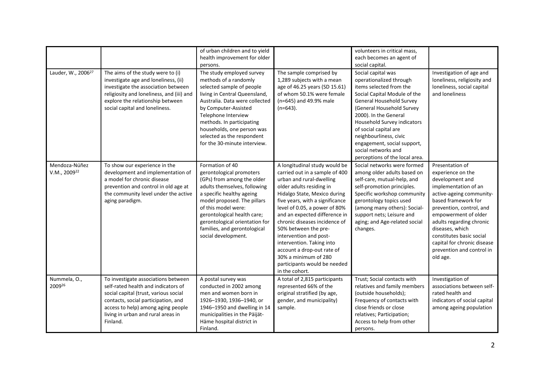|                                           |                                                                                                                                                                                                                                                    | of urban children and to yield<br>health improvement for older<br>persons.                                                                                                                                                                                                                                                 |                                                                                                                                                                                                                                                                                                                                                                                                                                                                                      | volunteers in critical mass,<br>each becomes an agent of<br>social capital.                                                                                                                                                                                                                                                                                          |                                                                                                                                                                                                                                                                                                                                           |
|-------------------------------------------|----------------------------------------------------------------------------------------------------------------------------------------------------------------------------------------------------------------------------------------------------|----------------------------------------------------------------------------------------------------------------------------------------------------------------------------------------------------------------------------------------------------------------------------------------------------------------------------|--------------------------------------------------------------------------------------------------------------------------------------------------------------------------------------------------------------------------------------------------------------------------------------------------------------------------------------------------------------------------------------------------------------------------------------------------------------------------------------|----------------------------------------------------------------------------------------------------------------------------------------------------------------------------------------------------------------------------------------------------------------------------------------------------------------------------------------------------------------------|-------------------------------------------------------------------------------------------------------------------------------------------------------------------------------------------------------------------------------------------------------------------------------------------------------------------------------------------|
| Lauder, W., 2006 <sup>27</sup>            | The aims of the study were to (i)<br>investigate age and loneliness, (ii)<br>investigate the association between<br>religiosity and loneliness, and (iii) and<br>explore the relationship between<br>social capital and loneliness.                | The study employed survey<br>methods of a randomly<br>selected sample of people<br>living in Central Queensland,<br>Australia. Data were collected<br>by Computer-Assisted<br>Telephone Interview<br>methods. In participating<br>households, one person was<br>selected as the respondent<br>for the 30-minute interview. | The sample comprised by<br>1,289 subjects with a mean<br>age of 46.25 years (SD 15.61)<br>of whom 50.1% were female<br>(n=645) and 49.9% male<br>$(n=643)$ .                                                                                                                                                                                                                                                                                                                         | Social capital was<br>operationalized through<br>items selected from the<br>Social Capital Module of the<br>General Household Survey<br>(General Household Survey<br>2000). In the General<br>Household Survey indicators<br>of social capital are<br>neighbourliness, civic<br>engagement, social support,<br>social networks and<br>perceptions of the local area. | Investigation of age and<br>loneliness, religiosity and<br>loneliness, social capital<br>and loneliness                                                                                                                                                                                                                                   |
| Mendoza-Núñez<br>V.M., 2009 <sup>22</sup> | To show our experience in the<br>development and implementation of<br>a model for chronic disease<br>prevention and control in old age at<br>the community level under the active<br>aging paradigm.                                               | Formation of 40<br>gerontological promoters<br>(GPs) from among the older<br>adults themselves, following<br>a specific healthy ageing<br>model proposed. The pillars<br>of this model were:<br>gerontological health care;<br>gerontological orientation for<br>families, and gerontological<br>social development.       | A longitudinal study would be<br>carried out in a sample of 400<br>urban and rural-dwelling<br>older adults residing in<br>Hidalgo State, Mexico during<br>five years, with a significance<br>level of 0.05, a power of 80%<br>and an expected difference in<br>chronic diseases incidence of<br>50% between the pre-<br>intervention and post-<br>intervention. Taking into<br>account a drop-out rate of<br>30% a minimum of 280<br>participants would be needed<br>in the cohort. | Social networks were formed<br>among older adults based on<br>self-care, mutual-help, and<br>self-promotion principles.<br>Specific workshop community<br>gerontology topics used<br>(among many others): Social-<br>support nets; Leisure and<br>aging; and Age-related social<br>changes.                                                                          | Presentation of<br>experience on the<br>development and<br>implementation of an<br>active-ageing community-<br>based framework for<br>prevention, control, and<br>empowerment of older<br>adults regarding chronic<br>diseases, which<br>constitutes basic social<br>capital for chronic disease<br>prevention and control in<br>old age. |
| Nummela, O.,<br>200926                    | To investigate associations between<br>self-rated health and indicators of<br>social capital (trust, various social<br>contacts, social participation, and<br>access to help) among aging people<br>living in urban and rural areas in<br>Finland. | A postal survey was<br>conducted in 2002 among<br>men and women born in<br>1926-1930, 1936-1940, or<br>1946-1950 and dwelling in 14<br>municipalities in the Päijät-<br>Häme hospital district in<br>Finland.                                                                                                              | A total of 2,815 participants<br>represented 66% of the<br>original stratified (by age,<br>gender, and municipality)<br>sample.                                                                                                                                                                                                                                                                                                                                                      | Trust; Social contacts with<br>relatives and family members<br>(outside households);<br>Frequency of contacts with<br>close friends or close<br>relatives; Participation;<br>Access to help from other<br>persons.                                                                                                                                                   | Investigation of<br>associations between self-<br>rated health and<br>indicators of social capital<br>among ageing population                                                                                                                                                                                                             |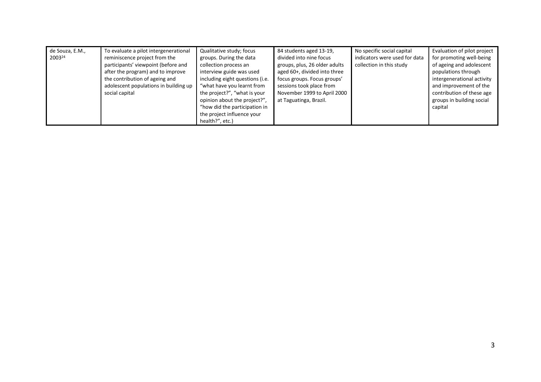|                 | de Souza, E.M.,<br>200324 | To evaluate a pilot intergenerational<br>reminiscence project from the<br>participants' viewpoint (before and<br>after the program) and to improve<br>the contribution of ageing and<br>adolescent populations in building up<br>social capital | Qualitative study; focus<br>groups. During the data<br>collection process an<br>interview guide was used<br>including eight questions (i.e.<br>"what have you learnt from<br>the project?", "what is your<br>opinion about the project?",<br>"how did the participation in | 84 students aged 13-19,<br>divided into nine focus<br>groups, plus, 26 older adults<br>aged 60+, divided into three<br>focus groups. Focus groups'<br>sessions took place from<br>November 1999 to April 2000<br>at Taguatinga, Brazil. | No specific social capital<br>indicators were used for data<br>collection in this study | Evaluation of pilot project<br>for promoting well-being<br>of ageing and adolescent<br>populations through<br>intergenerational activity<br>and improvement of the<br>contribution of these age<br>groups in building social<br>capital |
|-----------------|---------------------------|-------------------------------------------------------------------------------------------------------------------------------------------------------------------------------------------------------------------------------------------------|----------------------------------------------------------------------------------------------------------------------------------------------------------------------------------------------------------------------------------------------------------------------------|-----------------------------------------------------------------------------------------------------------------------------------------------------------------------------------------------------------------------------------------|-----------------------------------------------------------------------------------------|-----------------------------------------------------------------------------------------------------------------------------------------------------------------------------------------------------------------------------------------|
| health?", etc.) |                           |                                                                                                                                                                                                                                                 | the project influence your                                                                                                                                                                                                                                                 |                                                                                                                                                                                                                                         |                                                                                         |                                                                                                                                                                                                                                         |